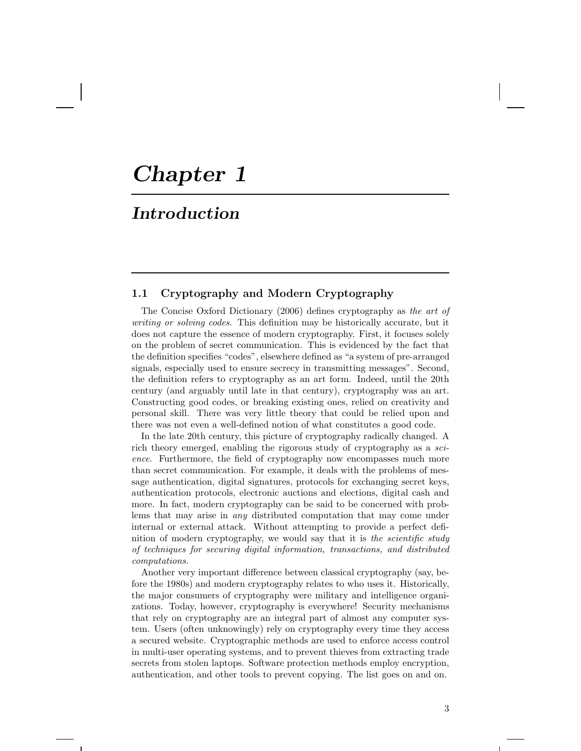# Chapter 1

## Introduction

#### 1.1 Cryptography and Modern Cryptography

The Concise Oxford Dictionary (2006) defines cryptography as the art of writing or solving codes. This definition may be historically accurate, but it does not capture the essence of modern cryptography. First, it focuses solely on the problem of secret communication. This is evidenced by the fact that the definition specifies "codes", elsewhere defined as "a system of pre-arranged signals, especially used to ensure secrecy in transmitting messages". Second, the definition refers to cryptography as an art form. Indeed, until the 20th century (and arguably until late in that century), cryptography was an art. Constructing good codes, or breaking existing ones, relied on creativity and personal skill. There was very little theory that could be relied upon and there was not even a well-defined notion of what constitutes a good code.

In the late 20th century, this picture of cryptography radically changed. A rich theory emerged, enabling the rigorous study of cryptography as a *sci*ence. Furthermore, the field of cryptography now encompasses much more than secret communication. For example, it deals with the problems of message authentication, digital signatures, protocols for exchanging secret keys, authentication protocols, electronic auctions and elections, digital cash and more. In fact, modern cryptography can be said to be concerned with problems that may arise in any distributed computation that may come under internal or external attack. Without attempting to provide a perfect definition of modern cryptography, we would say that it is the scientific study of techniques for securing digital information, transactions, and distributed computations.

Another very important difference between classical cryptography (say, before the 1980s) and modern cryptography relates to who uses it. Historically, the major consumers of cryptography were military and intelligence organizations. Today, however, cryptography is everywhere! Security mechanisms that rely on cryptography are an integral part of almost any computer system. Users (often unknowingly) rely on cryptography every time they access a secured website. Cryptographic methods are used to enforce access control in multi-user operating systems, and to prevent thieves from extracting trade secrets from stolen laptops. Software protection methods employ encryption, authentication, and other tools to prevent copying. The list goes on and on.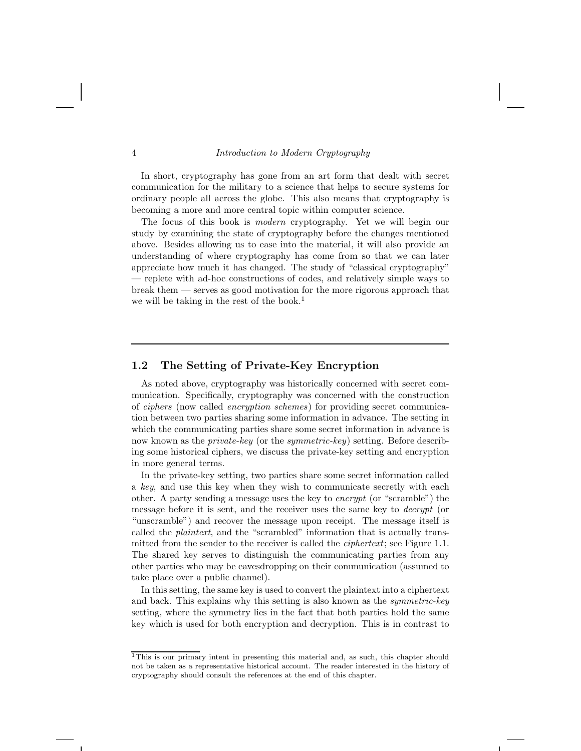In short, cryptography has gone from an art form that dealt with secret communication for the military to a science that helps to secure systems for ordinary people all across the globe. This also means that cryptography is becoming a more and more central topic within computer science.

The focus of this book is modern cryptography. Yet we will begin our study by examining the state of cryptography before the changes mentioned above. Besides allowing us to ease into the material, it will also provide an understanding of where cryptography has come from so that we can later appreciate how much it has changed. The study of "classical cryptography" — replete with ad-hoc constructions of codes, and relatively simple ways to break them — serves as good motivation for the more rigorous approach that we will be taking in the rest of the book.<sup>1</sup>

#### 1.2 The Setting of Private-Key Encryption

As noted above, cryptography was historically concerned with secret communication. Specifically, cryptography was concerned with the construction of ciphers (now called encryption schemes) for providing secret communication between two parties sharing some information in advance. The setting in which the communicating parties share some secret information in advance is now known as the *private-key* (or the *symmetric-key*) setting. Before describing some historical ciphers, we discuss the private-key setting and encryption in more general terms.

In the private-key setting, two parties share some secret information called a key, and use this key when they wish to communicate secretly with each other. A party sending a message uses the key to *encrypt* (or "scramble") the message before it is sent, and the receiver uses the same key to *decrypt* (or "unscramble") and recover the message upon receipt. The message itself is called the plaintext, and the "scrambled" information that is actually transmitted from the sender to the receiver is called the *ciphertext*; see Figure 1.1. The shared key serves to distinguish the communicating parties from any other parties who may be eavesdropping on their communication (assumed to take place over a public channel).

In this setting, the same key is used to convert the plaintext into a ciphertext and back. This explains why this setting is also known as the *symmetric-key* setting, where the symmetry lies in the fact that both parties hold the same key which is used for both encryption and decryption. This is in contrast to

<sup>&</sup>lt;sup>1</sup>This is our primary intent in presenting this material and, as such, this chapter should not be taken as a representative historical account. The reader interested in the history of cryptography should consult the references at the end of this chapter.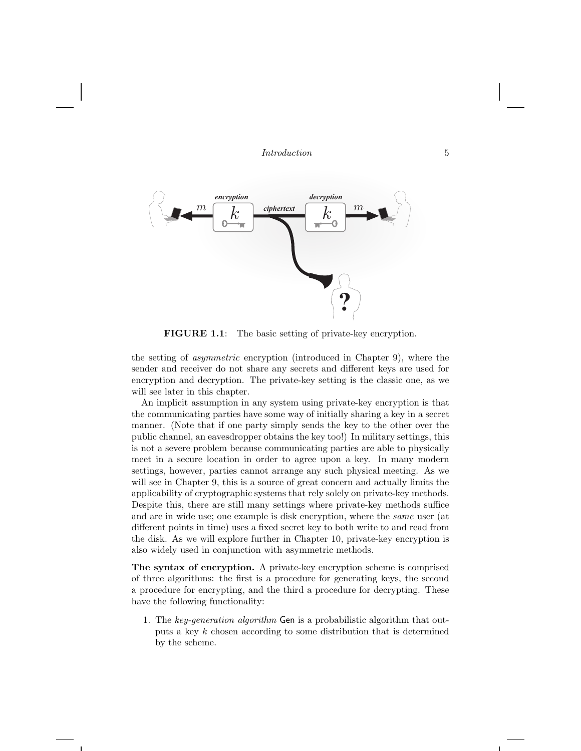

FIGURE 1.1: The basic setting of private-key encryption.

the setting of asymmetric encryption (introduced in Chapter 9), where the sender and receiver do not share any secrets and different keys are used for encryption and decryption. The private-key setting is the classic one, as we will see later in this chapter.

An implicit assumption in any system using private-key encryption is that the communicating parties have some way of initially sharing a key in a secret manner. (Note that if one party simply sends the key to the other over the public channel, an eavesdropper obtains the key too!) In military settings, this is not a severe problem because communicating parties are able to physically meet in a secure location in order to agree upon a key. In many modern settings, however, parties cannot arrange any such physical meeting. As we will see in Chapter 9, this is a source of great concern and actually limits the applicability of cryptographic systems that rely solely on private-key methods. Despite this, there are still many settings where private-key methods suffice and are in wide use; one example is disk encryption, where the same user (at different points in time) uses a fixed secret key to both write to and read from the disk. As we will explore further in Chapter 10, private-key encryption is also widely used in conjunction with asymmetric methods.

The syntax of encryption. A private-key encryption scheme is comprised of three algorithms: the first is a procedure for generating keys, the second a procedure for encrypting, and the third a procedure for decrypting. These have the following functionality:

1. The key-generation algorithm Gen is a probabilistic algorithm that outputs a key k chosen according to some distribution that is determined by the scheme.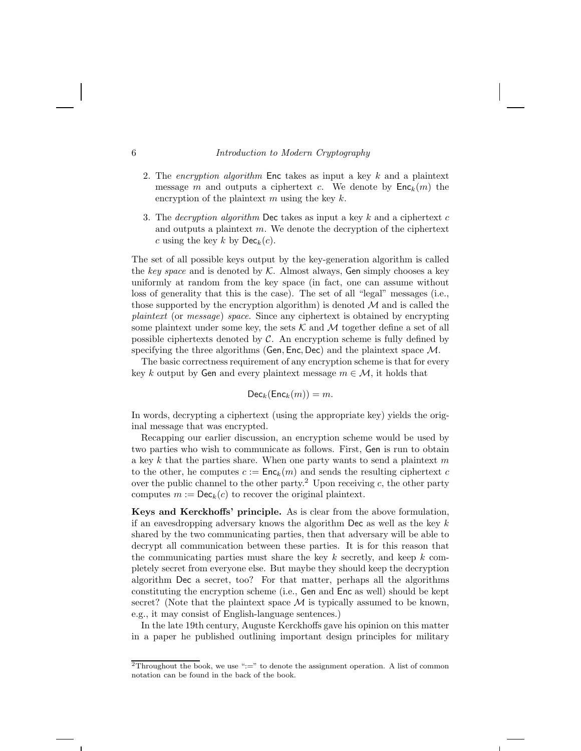- 2. The encryption algorithm  $\mathsf{Enc}$  takes as input a key k and a plaintext message m and outputs a ciphertext c. We denote by  $\mathsf{Enc}_k(m)$  the encryption of the plaintext  $m$  using the key  $k$ .
- 3. The *decryption algorithm* Dec takes as input a key  $k$  and a ciphertext  $c$ and outputs a plaintext  $m$ . We denote the decryption of the ciphertext c using the key k by  $\textsf{Dec}_k(c)$ .

The set of all possible keys output by the key-generation algorithm is called the key space and is denoted by  $K$ . Almost always, Gen simply chooses a key uniformly at random from the key space (in fact, one can assume without loss of generality that this is the case). The set of all "legal" messages (i.e., those supported by the encryption algorithm) is denoted  $\mathcal M$  and is called the plaintext (or message) space. Since any ciphertext is obtained by encrypting some plaintext under some key, the sets  $\mathcal K$  and  $\mathcal M$  together define a set of all possible ciphertexts denoted by  $C$ . An encryption scheme is fully defined by specifying the three algorithms (Gen, Enc, Dec) and the plaintext space  $\mathcal{M}$ .

The basic correctness requirement of any encryption scheme is that for every key k output by Gen and every plaintext message  $m \in \mathcal{M}$ , it holds that

$$
\mathsf{Dec}_k(\mathsf{Enc}_k(m)) = m.
$$

In words, decrypting a ciphertext (using the appropriate key) yields the original message that was encrypted.

Recapping our earlier discussion, an encryption scheme would be used by two parties who wish to communicate as follows. First, Gen is run to obtain a key k that the parties share. When one party wants to send a plaintext  $m$ to the other, he computes  $c := \mathsf{Enc}_k(m)$  and sends the resulting ciphertext c over the public channel to the other party.<sup>2</sup> Upon receiving  $c$ , the other party computes  $m := \mathsf{Dec}_k(c)$  to recover the original plaintext.

Keys and Kerckhoffs' principle. As is clear from the above formulation, if an eavesdropping adversary knows the algorithm Dec as well as the key  $k$ shared by the two communicating parties, then that adversary will be able to decrypt all communication between these parties. It is for this reason that the communicating parties must share the key  $k$  secretly, and keep  $k$  completely secret from everyone else. But maybe they should keep the decryption algorithm Dec a secret, too? For that matter, perhaps all the algorithms constituting the encryption scheme (i.e., Gen and Enc as well) should be kept secret? (Note that the plaintext space  $\mathcal M$  is typically assumed to be known, e.g., it may consist of English-language sentences.)

In the late 19th century, Auguste Kerckhoffs gave his opinion on this matter in a paper he published outlining important design principles for military

 $2$ Throughout the book, we use " $:=$ " to denote the assignment operation. A list of common notation can be found in the back of the book.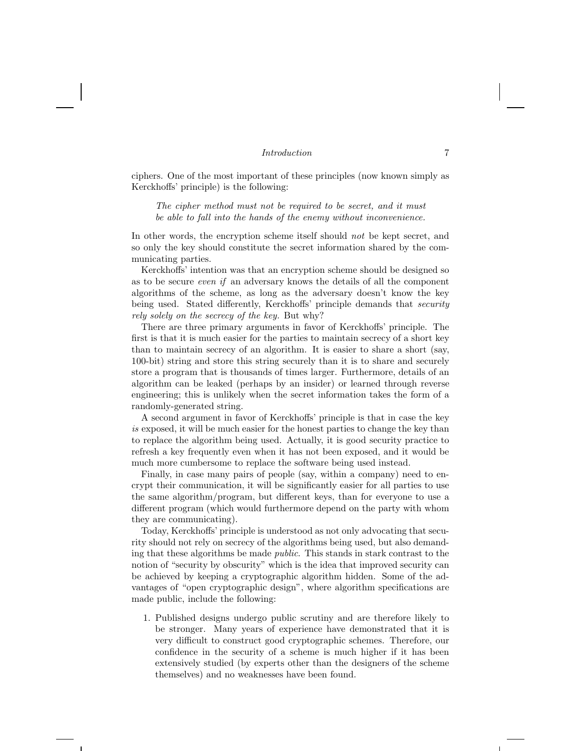ciphers. One of the most important of these principles (now known simply as Kerckhoffs' principle) is the following:

The cipher method must not be required to be secret, and it must be able to fall into the hands of the enemy without inconvenience.

In other words, the encryption scheme itself should *not* be kept secret, and so only the key should constitute the secret information shared by the communicating parties.

Kerckhoffs' intention was that an encryption scheme should be designed so as to be secure even if an adversary knows the details of all the component algorithms of the scheme, as long as the adversary doesn't know the key being used. Stated differently, Kerckhoffs' principle demands that *security* rely solely on the secrecy of the key. But why?

There are three primary arguments in favor of Kerckhoffs' principle. The first is that it is much easier for the parties to maintain secrecy of a short key than to maintain secrecy of an algorithm. It is easier to share a short (say, 100-bit) string and store this string securely than it is to share and securely store a program that is thousands of times larger. Furthermore, details of an algorithm can be leaked (perhaps by an insider) or learned through reverse engineering; this is unlikely when the secret information takes the form of a randomly-generated string.

A second argument in favor of Kerckhoffs' principle is that in case the key is exposed, it will be much easier for the honest parties to change the key than to replace the algorithm being used. Actually, it is good security practice to refresh a key frequently even when it has not been exposed, and it would be much more cumbersome to replace the software being used instead.

Finally, in case many pairs of people (say, within a company) need to encrypt their communication, it will be significantly easier for all parties to use the same algorithm/program, but different keys, than for everyone to use a different program (which would furthermore depend on the party with whom they are communicating).

Today, Kerckhoffs' principle is understood as not only advocating that security should not rely on secrecy of the algorithms being used, but also demanding that these algorithms be made public. This stands in stark contrast to the notion of "security by obscurity" which is the idea that improved security can be achieved by keeping a cryptographic algorithm hidden. Some of the advantages of "open cryptographic design", where algorithm specifications are made public, include the following:

1. Published designs undergo public scrutiny and are therefore likely to be stronger. Many years of experience have demonstrated that it is very difficult to construct good cryptographic schemes. Therefore, our confidence in the security of a scheme is much higher if it has been extensively studied (by experts other than the designers of the scheme themselves) and no weaknesses have been found.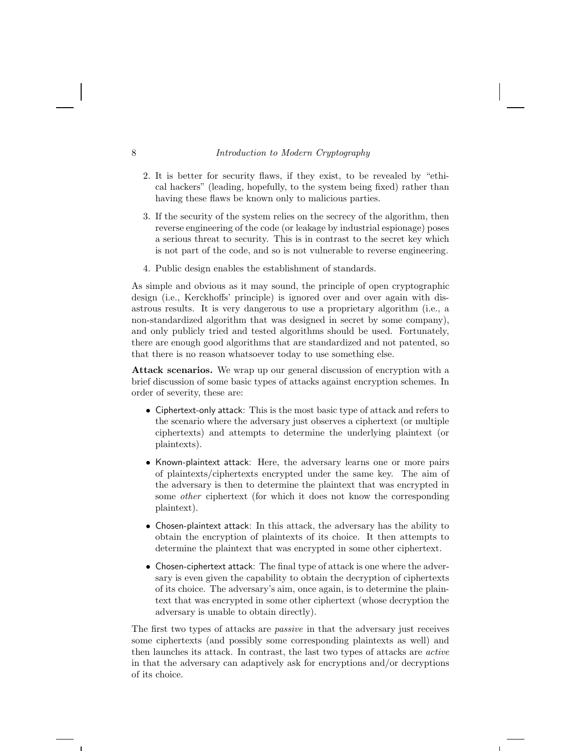- 2. It is better for security flaws, if they exist, to be revealed by "ethical hackers" (leading, hopefully, to the system being fixed) rather than having these flaws be known only to malicious parties.
- 3. If the security of the system relies on the secrecy of the algorithm, then reverse engineering of the code (or leakage by industrial espionage) poses a serious threat to security. This is in contrast to the secret key which is not part of the code, and so is not vulnerable to reverse engineering.
- 4. Public design enables the establishment of standards.

As simple and obvious as it may sound, the principle of open cryptographic design (i.e., Kerckhoffs' principle) is ignored over and over again with disastrous results. It is very dangerous to use a proprietary algorithm (i.e., a non-standardized algorithm that was designed in secret by some company), and only publicly tried and tested algorithms should be used. Fortunately, there are enough good algorithms that are standardized and not patented, so that there is no reason whatsoever today to use something else.

Attack scenarios. We wrap up our general discussion of encryption with a brief discussion of some basic types of attacks against encryption schemes. In order of severity, these are:

- Ciphertext-only attack: This is the most basic type of attack and refers to the scenario where the adversary just observes a ciphertext (or multiple ciphertexts) and attempts to determine the underlying plaintext (or plaintexts).
- Known-plaintext attack: Here, the adversary learns one or more pairs of plaintexts/ciphertexts encrypted under the same key. The aim of the adversary is then to determine the plaintext that was encrypted in some other ciphertext (for which it does not know the corresponding plaintext).
- Chosen-plaintext attack: In this attack, the adversary has the ability to obtain the encryption of plaintexts of its choice. It then attempts to determine the plaintext that was encrypted in some other ciphertext.
- Chosen-ciphertext attack: The final type of attack is one where the adversary is even given the capability to obtain the decryption of ciphertexts of its choice. The adversary's aim, once again, is to determine the plaintext that was encrypted in some other ciphertext (whose decryption the adversary is unable to obtain directly).

The first two types of attacks are passive in that the adversary just receives some ciphertexts (and possibly some corresponding plaintexts as well) and then launches its attack. In contrast, the last two types of attacks are active in that the adversary can adaptively ask for encryptions and/or decryptions of its choice.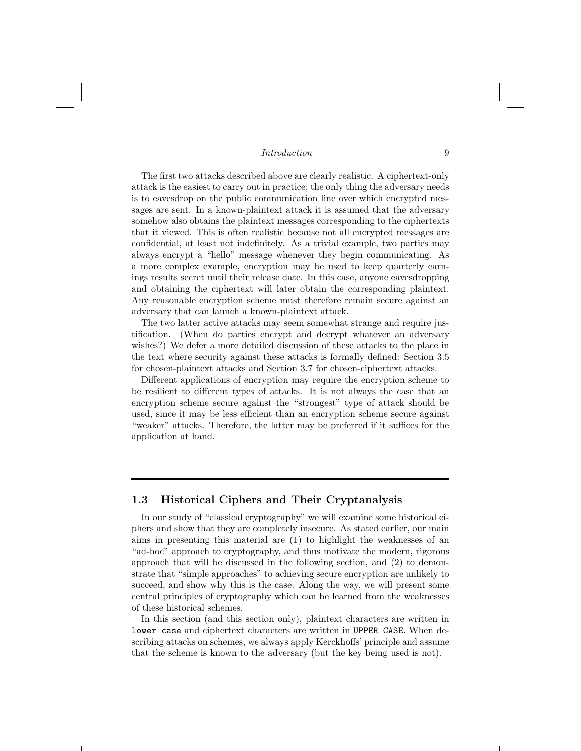The first two attacks described above are clearly realistic. A ciphertext-only attack is the easiest to carry out in practice; the only thing the adversary needs is to eavesdrop on the public communication line over which encrypted messages are sent. In a known-plaintext attack it is assumed that the adversary somehow also obtains the plaintext messages corresponding to the ciphertexts that it viewed. This is often realistic because not all encrypted messages are confidential, at least not indefinitely. As a trivial example, two parties may always encrypt a "hello" message whenever they begin communicating. As a more complex example, encryption may be used to keep quarterly earnings results secret until their release date. In this case, anyone eavesdropping and obtaining the ciphertext will later obtain the corresponding plaintext. Any reasonable encryption scheme must therefore remain secure against an adversary that can launch a known-plaintext attack.

The two latter active attacks may seem somewhat strange and require justification. (When do parties encrypt and decrypt whatever an adversary wishes?) We defer a more detailed discussion of these attacks to the place in the text where security against these attacks is formally defined: Section 3.5 for chosen-plaintext attacks and Section 3.7 for chosen-ciphertext attacks.

Different applications of encryption may require the encryption scheme to be resilient to different types of attacks. It is not always the case that an encryption scheme secure against the "strongest" type of attack should be used, since it may be less efficient than an encryption scheme secure against "weaker" attacks. Therefore, the latter may be preferred if it suffices for the application at hand.

#### 1.3 Historical Ciphers and Their Cryptanalysis

In our study of "classical cryptography" we will examine some historical ciphers and show that they are completely insecure. As stated earlier, our main aims in presenting this material are (1) to highlight the weaknesses of an "ad-hoc" approach to cryptography, and thus motivate the modern, rigorous approach that will be discussed in the following section, and (2) to demonstrate that "simple approaches" to achieving secure encryption are unlikely to succeed, and show why this is the case. Along the way, we will present some central principles of cryptography which can be learned from the weaknesses of these historical schemes.

In this section (and this section only), plaintext characters are written in lower case and ciphertext characters are written in UPPER CASE. When describing attacks on schemes, we always apply Kerckhoffs' principle and assume that the scheme is known to the adversary (but the key being used is not).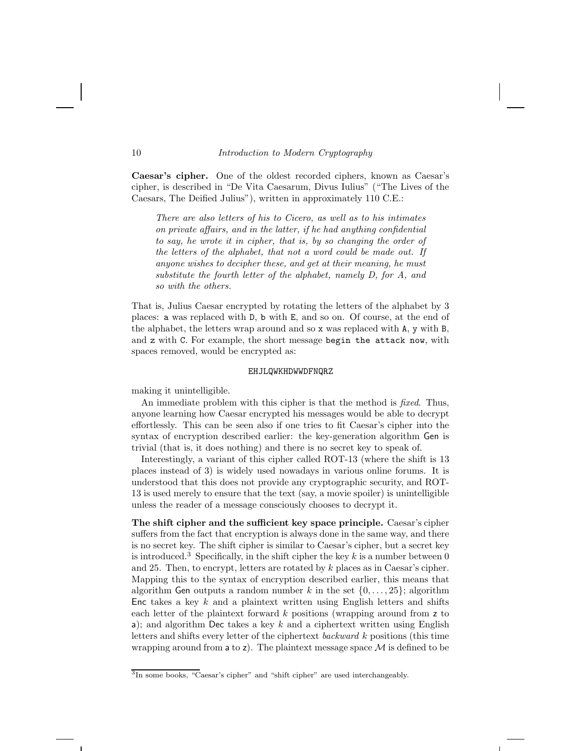Caesar's cipher. One of the oldest recorded ciphers, known as Caesar's cipher, is described in "De Vita Caesarum, Divus Iulius" ("The Lives of the Caesars, The Deified Julius"), written in approximately 110 C.E.:

There are also letters of his to Cicero, as well as to his intimates on private affairs, and in the latter, if he had anything confidential to say, he wrote it in cipher, that is, by so changing the order of the letters of the alphabet, that not a word could be made out. If anyone wishes to decipher these, and get at their meaning, he must substitute the fourth letter of the alphabet, namely D, for A, and so with the others.

That is, Julius Caesar encrypted by rotating the letters of the alphabet by 3 places: a was replaced with D, b with E, and so on. Of course, at the end of the alphabet, the letters wrap around and so x was replaced with A, y with B, and z with C. For example, the short message begin the attack now, with spaces removed, would be encrypted as:

#### EHJLQWKHDWWDFNQRZ

making it unintelligible.

An immediate problem with this cipher is that the method is *fixed*. Thus, anyone learning how Caesar encrypted his messages would be able to decrypt effortlessly. This can be seen also if one tries to fit Caesar's cipher into the syntax of encryption described earlier: the key-generation algorithm Gen is trivial (that is, it does nothing) and there is no secret key to speak of.

Interestingly, a variant of this cipher called ROT-13 (where the shift is 13 places instead of 3) is widely used nowadays in various online forums. It is understood that this does not provide any cryptographic security, and ROT-13 is used merely to ensure that the text (say, a movie spoiler) is unintelligible unless the reader of a message consciously chooses to decrypt it.

The shift cipher and the sufficient key space principle. Caesar's cipher suffers from the fact that encryption is always done in the same way, and there is no secret key. The shift cipher is similar to Caesar's cipher, but a secret key is introduced.<sup>3</sup> Specifically, in the shift cipher the key k is a number between 0 and 25. Then, to encrypt, letters are rotated by  $k$  places as in Caesar's cipher. Mapping this to the syntax of encryption described earlier, this means that algorithm Gen outputs a random number k in the set  $\{0, \ldots, 25\}$ ; algorithm Enc takes a key k and a plaintext written using English letters and shifts each letter of the plaintext forward k positions (wrapping around from z to a); and algorithm Dec takes a key  $k$  and a ciphertext written using English letters and shifts every letter of the ciphertext backward k positions (this time wrapping around from a to z). The plaintext message space  $\mathcal M$  is defined to be

<sup>&</sup>lt;sup>3</sup>In some books, "Caesar's cipher" and "shift cipher" are used interchangeably.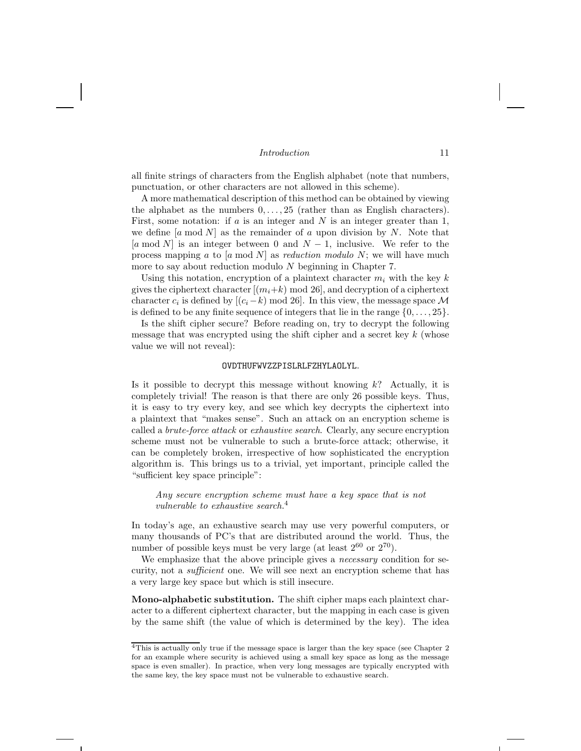all finite strings of characters from the English alphabet (note that numbers, punctuation, or other characters are not allowed in this scheme).

A more mathematical description of this method can be obtained by viewing the alphabet as the numbers  $0, \ldots, 25$  (rather than as English characters). First, some notation: if  $a$  is an integer and  $N$  is an integer greater than 1, we define [a mod N] as the remainder of a upon division by N. Note that [a mod N] is an integer between 0 and  $N-1$ , inclusive. We refer to the process mapping a to [a mod N] as reduction modulo N; we will have much more to say about reduction modulo  $N$  beginning in Chapter 7.

Using this notation, encryption of a plaintext character  $m_i$  with the key k gives the ciphertext character  $[(m_i+k) \mod 26]$ , and decryption of a ciphertext character  $c_i$  is defined by  $[(c_i-k) \mod 26]$ . In this view, the message space M is defined to be any finite sequence of integers that lie in the range  $\{0, \ldots, 25\}$ .

Is the shift cipher secure? Before reading on, try to decrypt the following message that was encrypted using the shift cipher and a secret key  $k$  (whose value we will not reveal):

#### OVDTHUFWVZZPISLRLFZHYLAOLYL.

Is it possible to decrypt this message without knowing  $k$ ? Actually, it is completely trivial! The reason is that there are only 26 possible keys. Thus, it is easy to try every key, and see which key decrypts the ciphertext into a plaintext that "makes sense". Such an attack on an encryption scheme is called a brute-force attack or exhaustive search. Clearly, any secure encryption scheme must not be vulnerable to such a brute-force attack; otherwise, it can be completely broken, irrespective of how sophisticated the encryption algorithm is. This brings us to a trivial, yet important, principle called the "sufficient key space principle":

Any secure encryption scheme must have a key space that is not vulnerable to exhaustive search.<sup>4</sup>

In today's age, an exhaustive search may use very powerful computers, or many thousands of PC's that are distributed around the world. Thus, the number of possible keys must be very large (at least  $2^{60}$  or  $2^{70}$ ).

We emphasize that the above principle gives a *necessary* condition for security, not a *sufficient* one. We will see next an encryption scheme that has a very large key space but which is still insecure.

Mono-alphabetic substitution. The shift cipher maps each plaintext character to a different ciphertext character, but the mapping in each case is given by the same shift (the value of which is determined by the key). The idea

<sup>&</sup>lt;sup>4</sup>This is actually only true if the message space is larger than the key space (see Chapter 2 for an example where security is achieved using a small key space as long as the message space is even smaller). In practice, when very long messages are typically encrypted with the same key, the key space must not be vulnerable to exhaustive search.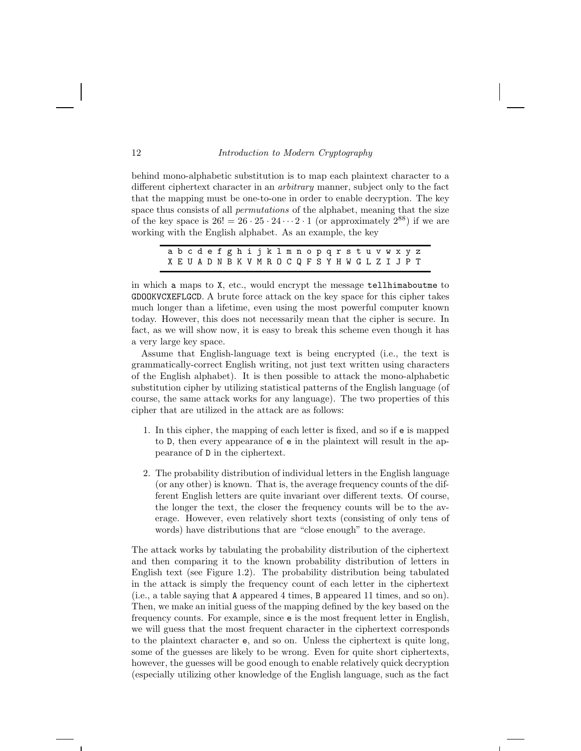behind mono-alphabetic substitution is to map each plaintext character to a different ciphertext character in an *arbitrary* manner, subject only to the fact that the mapping must be one-to-one in order to enable decryption. The key space thus consists of all *permutations* of the alphabet, meaning that the size of the key space is  $26! = 26 \cdot 25 \cdot 24 \cdots 2 \cdot 1$  (or approximately  $2^{88}$ ) if we are working with the English alphabet. As an example, the key

|  |  |  |  |  |  |  |  |  |  |  |  | a b c d e f g h i j k 1 m n o p q r s t u v w x y z |
|--|--|--|--|--|--|--|--|--|--|--|--|-----------------------------------------------------|
|  |  |  |  |  |  |  |  |  |  |  |  | X E U A D N B K V M R O C Q F S Y H W G L Z I J P T |

in which a maps to X, etc., would encrypt the message tellhimaboutme to GDOOKVCXEFLGCD. A brute force attack on the key space for this cipher takes much longer than a lifetime, even using the most powerful computer known today. However, this does not necessarily mean that the cipher is secure. In fact, as we will show now, it is easy to break this scheme even though it has a very large key space.

Assume that English-language text is being encrypted (i.e., the text is grammatically-correct English writing, not just text written using characters of the English alphabet). It is then possible to attack the mono-alphabetic substitution cipher by utilizing statistical patterns of the English language (of course, the same attack works for any language). The two properties of this cipher that are utilized in the attack are as follows:

- 1. In this cipher, the mapping of each letter is fixed, and so if e is mapped to D, then every appearance of e in the plaintext will result in the appearance of D in the ciphertext.
- 2. The probability distribution of individual letters in the English language (or any other) is known. That is, the average frequency counts of the different English letters are quite invariant over different texts. Of course, the longer the text, the closer the frequency counts will be to the average. However, even relatively short texts (consisting of only tens of words) have distributions that are "close enough" to the average.

The attack works by tabulating the probability distribution of the ciphertext and then comparing it to the known probability distribution of letters in English text (see Figure 1.2). The probability distribution being tabulated in the attack is simply the frequency count of each letter in the ciphertext (i.e., a table saying that A appeared 4 times, B appeared 11 times, and so on). Then, we make an initial guess of the mapping defined by the key based on the frequency counts. For example, since e is the most frequent letter in English, we will guess that the most frequent character in the ciphertext corresponds to the plaintext character e, and so on. Unless the ciphertext is quite long, some of the guesses are likely to be wrong. Even for quite short ciphertexts, however, the guesses will be good enough to enable relatively quick decryption (especially utilizing other knowledge of the English language, such as the fact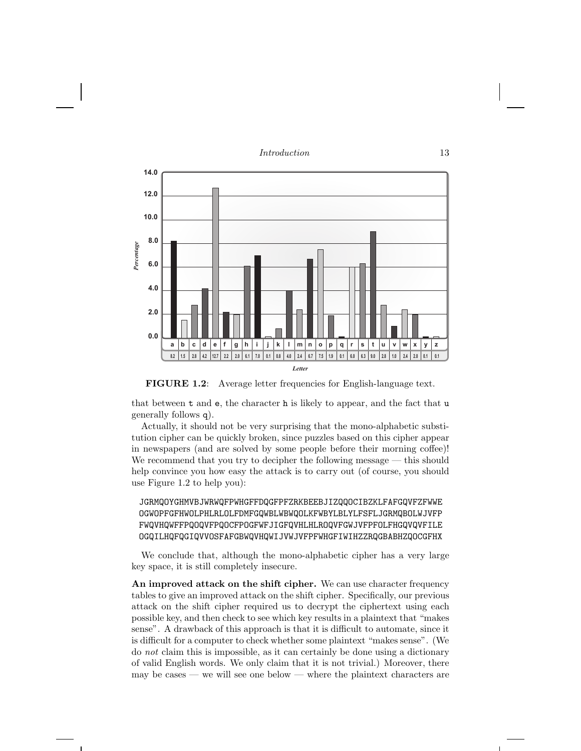

FIGURE 1.2: Average letter frequencies for English-language text.

that between t and e, the character h is likely to appear, and the fact that u generally follows q).

Actually, it should not be very surprising that the mono-alphabetic substitution cipher can be quickly broken, since puzzles based on this cipher appear in newspapers (and are solved by some people before their morning coffee)! We recommend that you try to decipher the following message — this should help convince you how easy the attack is to carry out (of course, you should use Figure 1.2 to help you):

JGRMQOYGHMVBJWRWQFPWHGFFDQGFPFZRKBEEBJIZQQOCIBZKLFAFGQVFZFWWE OGWOPFGFHWOLPHLRLOLFDMFGQWBLWBWQOLKFWBYLBLYLFSFLJGRMQBOLWJVFP FWQVHQWFFPQOQVFPQOCFPOGFWFJIGFQVHLHLROQVFGWJVFPFOLFHGQVQVFILE OGQILHQFQGIQVVOSFAFGBWQVHQWIJVWJVFPFWHGFIWIHZZRQGBABHZQOCGFHX

We conclude that, although the mono-alphabetic cipher has a very large key space, it is still completely insecure.

An improved attack on the shift cipher. We can use character frequency tables to give an improved attack on the shift cipher. Specifically, our previous attack on the shift cipher required us to decrypt the ciphertext using each possible key, and then check to see which key results in a plaintext that "makes sense". A drawback of this approach is that it is difficult to automate, since it is difficult for a computer to check whether some plaintext "makes sense". (We do not claim this is impossible, as it can certainly be done using a dictionary of valid English words. We only claim that it is not trivial.) Moreover, there may be cases — we will see one below — where the plaintext characters are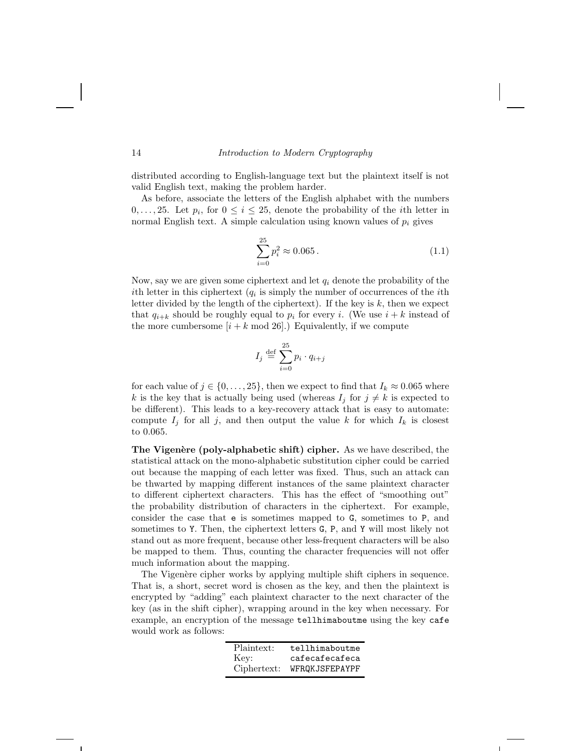distributed according to English-language text but the plaintext itself is not valid English text, making the problem harder.

As before, associate the letters of the English alphabet with the numbers  $0, \ldots, 25$ . Let  $p_i$ , for  $0 \leq i \leq 25$ , denote the probability of the *i*th letter in normal English text. A simple calculation using known values of  $p_i$  gives

$$
\sum_{i=0}^{25} p_i^2 \approx 0.065. \tag{1.1}
$$

Now, say we are given some ciphertext and let  $q_i$  denote the probability of the *i*th letter in this ciphertext  $(q_i$  is simply the number of occurrences of the *i*th letter divided by the length of the ciphertext). If the key is  $k$ , then we expect that  $q_{i+k}$  should be roughly equal to  $p_i$  for every i. (We use  $i + k$  instead of the more cumbersome  $|i + k \mod 26|$ .) Equivalently, if we compute

$$
I_j \stackrel{\text{def}}{=} \sum_{i=0}^{25} p_i \cdot q_{i+j}
$$

for each value of  $j \in \{0, \ldots, 25\}$ , then we expect to find that  $I_k \approx 0.065$  where k is the key that is actually being used (whereas  $I_j$  for  $j \neq k$  is expected to be different). This leads to a key-recovery attack that is easy to automate: compute  $I_j$  for all j, and then output the value k for which  $I_k$  is closest to 0.065.

The Vigenère (poly-alphabetic shift) cipher. As we have described, the statistical attack on the mono-alphabetic substitution cipher could be carried out because the mapping of each letter was fixed. Thus, such an attack can be thwarted by mapping different instances of the same plaintext character to different ciphertext characters. This has the effect of "smoothing out" the probability distribution of characters in the ciphertext. For example, consider the case that e is sometimes mapped to G, sometimes to P, and sometimes to Y. Then, the ciphertext letters G, P, and Y will most likely not stand out as more frequent, because other less-frequent characters will be also be mapped to them. Thus, counting the character frequencies will not offer much information about the mapping.

The Vigenère cipher works by applying multiple shift ciphers in sequence. That is, a short, secret word is chosen as the key, and then the plaintext is encrypted by "adding" each plaintext character to the next character of the key (as in the shift cipher), wrapping around in the key when necessary. For example, an encryption of the message tellhimaboutme using the key cafe would work as follows:

| Plaintext:  | tellhimaboutme |
|-------------|----------------|
| Key:        | cafecafecafeca |
| Ciphertext: | WFRQKJSFEPAYPF |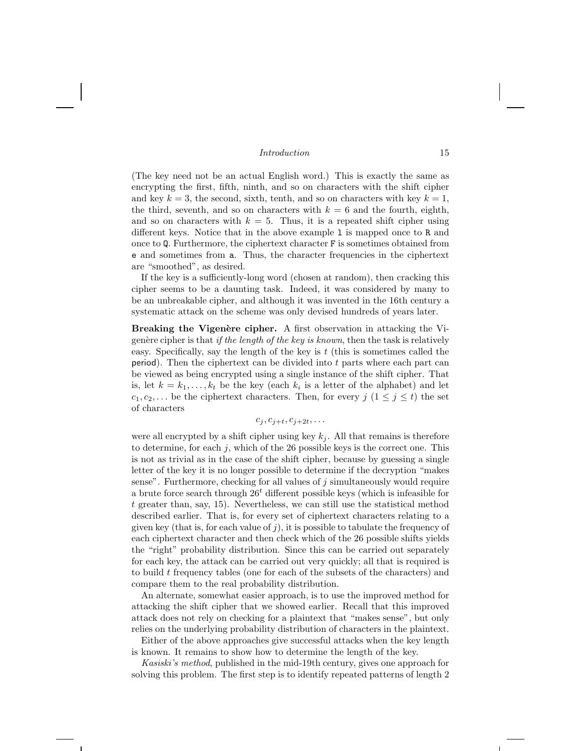(The key need not be an actual English word.) This is exactly the same as encrypting the first, fifth, ninth, and so on characters with the shift cipher and key  $k = 3$ , the second, sixth, tenth, and so on characters with key  $k = 1$ , the third, seventh, and so on characters with  $k = 6$  and the fourth, eighth, and so on characters with  $k = 5$ . Thus, it is a repeated shift cipher using different keys. Notice that in the above example l is mapped once to R and once to Q. Furthermore, the ciphertext character F is sometimes obtained from e and sometimes from a. Thus, the character frequencies in the ciphertext are "smoothed", as desired.

If the key is a sufficiently-long word (chosen at random), then cracking this cipher seems to be a daunting task. Indeed, it was considered by many to be an unbreakable cipher, and although it was invented in the 16th century a systematic attack on the scheme was only devised hundreds of years later.

Breaking the Vigenère cipher. A first observation in attacking the Vigenère cipher is that if the length of the key is known, then the task is relatively easy. Specifically, say the length of the key is  $t$  (this is sometimes called the period). Then the ciphertext can be divided into t parts where each part can be viewed as being encrypted using a single instance of the shift cipher. That is, let  $k = k_1, \ldots, k_t$  be the key (each  $k_i$  is a letter of the alphabet) and let  $c_1, c_2, \ldots$  be the ciphertext characters. Then, for every  $j$   $(1 \leq j \leq t)$  the set of characters

#### $c_j, c_{j+t}, c_{j+2t}, \ldots$

were all encrypted by a shift cipher using key  $k_j$ . All that remains is therefore to determine, for each  $j$ , which of the 26 possible keys is the correct one. This is not as trivial as in the case of the shift cipher, because by guessing a single letter of the key it is no longer possible to determine if the decryption "makes sense". Furthermore, checking for all values of  $j$  simultaneously would require a brute force search through  $26<sup>t</sup>$  different possible keys (which is infeasible for t greater than, say, 15). Nevertheless, we can still use the statistical method described earlier. That is, for every set of ciphertext characters relating to a given key (that is, for each value of  $j$ ), it is possible to tabulate the frequency of each ciphertext character and then check which of the 26 possible shifts yields the "right" probability distribution. Since this can be carried out separately for each key, the attack can be carried out very quickly; all that is required is to build  $t$  frequency tables (one for each of the subsets of the characters) and compare them to the real probability distribution.

An alternate, somewhat easier approach, is to use the improved method for attacking the shift cipher that we showed earlier. Recall that this improved attack does not rely on checking for a plaintext that "makes sense", but only relies on the underlying probability distribution of characters in the plaintext.

Either of the above approaches give successful attacks when the key length is known. It remains to show how to determine the length of the key.

Kasiski's method, published in the mid-19th century, gives one approach for solving this problem. The first step is to identify repeated patterns of length 2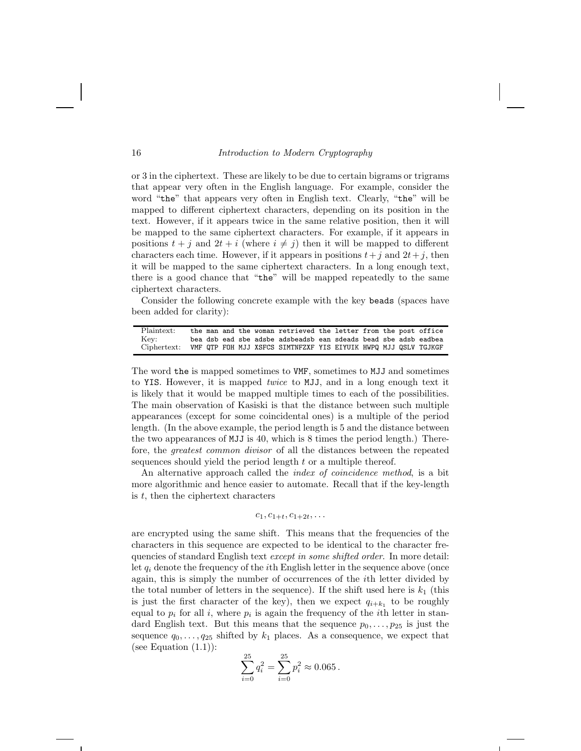or 3 in the ciphertext. These are likely to be due to certain bigrams or trigrams that appear very often in the English language. For example, consider the word "the" that appears very often in English text. Clearly, "the" will be mapped to different ciphertext characters, depending on its position in the text. However, if it appears twice in the same relative position, then it will be mapped to the same ciphertext characters. For example, if it appears in positions  $t + j$  and  $2t + i$  (where  $i \neq j$ ) then it will be mapped to different characters each time. However, if it appears in positions  $t+j$  and  $2t+j$ , then it will be mapped to the same ciphertext characters. In a long enough text, there is a good chance that "the" will be mapped repeatedly to the same ciphertext characters.

Consider the following concrete example with the key beads (spaces have been added for clarity):

| Plaintext:                                                                  |  |  | the man and the woman retrieved the letter from the post office |  |  |  |
|-----------------------------------------------------------------------------|--|--|-----------------------------------------------------------------|--|--|--|
| Kev:                                                                        |  |  | bea dsb ead sbe adsbe adsbeadsb ean sdeads bead sbe adsb eadbea |  |  |  |
| Ciphertext: VMF QTP FOH MJJ XSFCS SIMTNFZXF YIS EIYUIK HWPQ MJJ QSLV TGJKGF |  |  |                                                                 |  |  |  |

The word the is mapped sometimes to VMF, sometimes to MJJ and sometimes to YIS. However, it is mapped twice to MJJ, and in a long enough text it is likely that it would be mapped multiple times to each of the possibilities. The main observation of Kasiski is that the distance between such multiple appearances (except for some coincidental ones) is a multiple of the period length. (In the above example, the period length is 5 and the distance between the two appearances of MJJ is 40, which is 8 times the period length.) Therefore, the greatest common divisor of all the distances between the repeated sequences should yield the period length t or a multiple thereof.

An alternative approach called the index of coincidence method, is a bit more algorithmic and hence easier to automate. Recall that if the key-length is  $t$ , then the ciphertext characters

#### $c_1, c_{1+t}, c_{1+2t}, \ldots$

are encrypted using the same shift. This means that the frequencies of the characters in this sequence are expected to be identical to the character frequencies of standard English text except in some shifted order. In more detail: let  $q_i$  denote the frequency of the *i*<sup>th</sup> English letter in the sequence above (once again, this is simply the number of occurrences of the ith letter divided by the total number of letters in the sequence). If the shift used here is  $k_1$  (this is just the first character of the key), then we expect  $q_{i+k_1}$  to be roughly equal to  $p_i$  for all i, where  $p_i$  is again the frequency of the i<sup>th</sup> letter in standard English text. But this means that the sequence  $p_0, \ldots, p_{25}$  is just the sequence  $q_0, \ldots, q_{25}$  shifted by  $k_1$  places. As a consequence, we expect that (see Equation  $(1.1)$ ):

$$
\sum_{i=0}^{25} q_i^2 = \sum_{i=0}^{25} p_i^2 \approx 0.065.
$$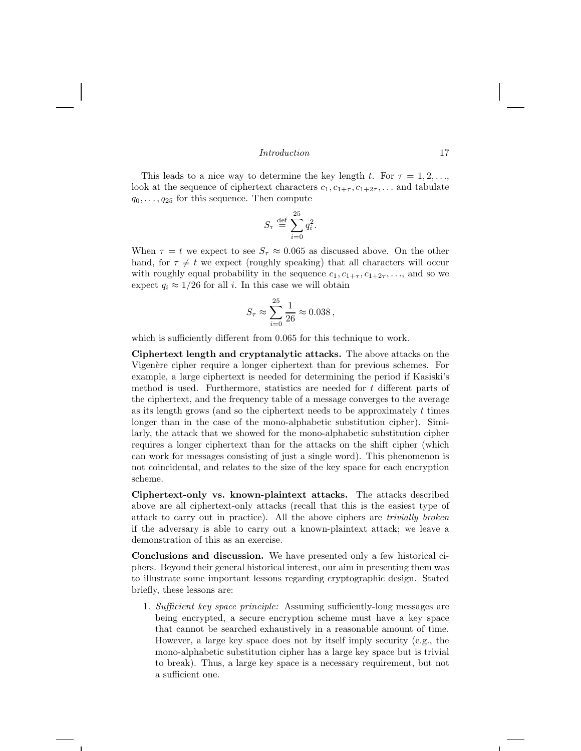This leads to a nice way to determine the key length t. For  $\tau = 1, 2, \ldots$ , look at the sequence of ciphertext characters  $c_1, c_{1+\tau}, c_{1+2\tau}, \ldots$  and tabulate  $q_0, \ldots, q_{25}$  for this sequence. Then compute

$$
S_{\tau} \stackrel{\text{def}}{=} \sum_{i=0}^{25} q_i^2.
$$

When  $\tau = t$  we expect to see  $S_{\tau} \approx 0.065$  as discussed above. On the other hand, for  $\tau \neq t$  we expect (roughly speaking) that all characters will occur with roughly equal probability in the sequence  $c_1, c_{1+\tau}, c_{1+2\tau}, \ldots$ , and so we expect  $q_i \approx 1/26$  for all i. In this case we will obtain

$$
S_{\tau} \approx \sum_{i=0}^{25} \frac{1}{26} \approx 0.038 \,,
$$

which is sufficiently different from 0.065 for this technique to work.

Ciphertext length and cryptanalytic attacks. The above attacks on the Vigenère cipher require a longer ciphertext than for previous schemes. For example, a large ciphertext is needed for determining the period if Kasiski's method is used. Furthermore, statistics are needed for t different parts of the ciphertext, and the frequency table of a message converges to the average as its length grows (and so the ciphertext needs to be approximately  $t$  times longer than in the case of the mono-alphabetic substitution cipher). Similarly, the attack that we showed for the mono-alphabetic substitution cipher requires a longer ciphertext than for the attacks on the shift cipher (which can work for messages consisting of just a single word). This phenomenon is not coincidental, and relates to the size of the key space for each encryption scheme.

Ciphertext-only vs. known-plaintext attacks. The attacks described above are all ciphertext-only attacks (recall that this is the easiest type of attack to carry out in practice). All the above ciphers are trivially broken if the adversary is able to carry out a known-plaintext attack; we leave a demonstration of this as an exercise.

Conclusions and discussion. We have presented only a few historical ciphers. Beyond their general historical interest, our aim in presenting them was to illustrate some important lessons regarding cryptographic design. Stated briefly, these lessons are:

1. Sufficient key space principle: Assuming sufficiently-long messages are being encrypted, a secure encryption scheme must have a key space that cannot be searched exhaustively in a reasonable amount of time. However, a large key space does not by itself imply security (e.g., the mono-alphabetic substitution cipher has a large key space but is trivial to break). Thus, a large key space is a necessary requirement, but not a sufficient one.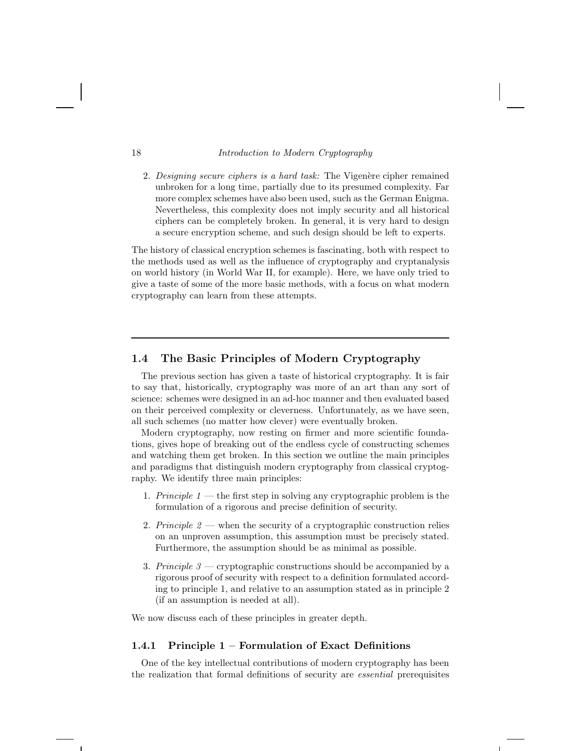2. Designing secure ciphers is a hard task: The Vigenère cipher remained unbroken for a long time, partially due to its presumed complexity. Far more complex schemes have also been used, such as the German Enigma. Nevertheless, this complexity does not imply security and all historical ciphers can be completely broken. In general, it is very hard to design a secure encryption scheme, and such design should be left to experts.

The history of classical encryption schemes is fascinating, both with respect to the methods used as well as the influence of cryptography and cryptanalysis on world history (in World War II, for example). Here, we have only tried to give a taste of some of the more basic methods, with a focus on what modern cryptography can learn from these attempts.

#### 1.4 The Basic Principles of Modern Cryptography

The previous section has given a taste of historical cryptography. It is fair to say that, historically, cryptography was more of an art than any sort of science: schemes were designed in an ad-hoc manner and then evaluated based on their perceived complexity or cleverness. Unfortunately, as we have seen, all such schemes (no matter how clever) were eventually broken.

Modern cryptography, now resting on firmer and more scientific foundations, gives hope of breaking out of the endless cycle of constructing schemes and watching them get broken. In this section we outline the main principles and paradigms that distinguish modern cryptography from classical cryptography. We identify three main principles:

- 1. Principle  $1$  the first step in solving any cryptographic problem is the formulation of a rigorous and precise definition of security.
- 2. Principle  $2$  when the security of a cryptographic construction relies on an unproven assumption, this assumption must be precisely stated. Furthermore, the assumption should be as minimal as possible.
- 3. Principle  $3$  cryptographic constructions should be accompanied by a rigorous proof of security with respect to a definition formulated according to principle 1, and relative to an assumption stated as in principle 2 (if an assumption is needed at all).

We now discuss each of these principles in greater depth.

#### 1.4.1 Principle 1 – Formulation of Exact Definitions

One of the key intellectual contributions of modern cryptography has been the realization that formal definitions of security are essential prerequisites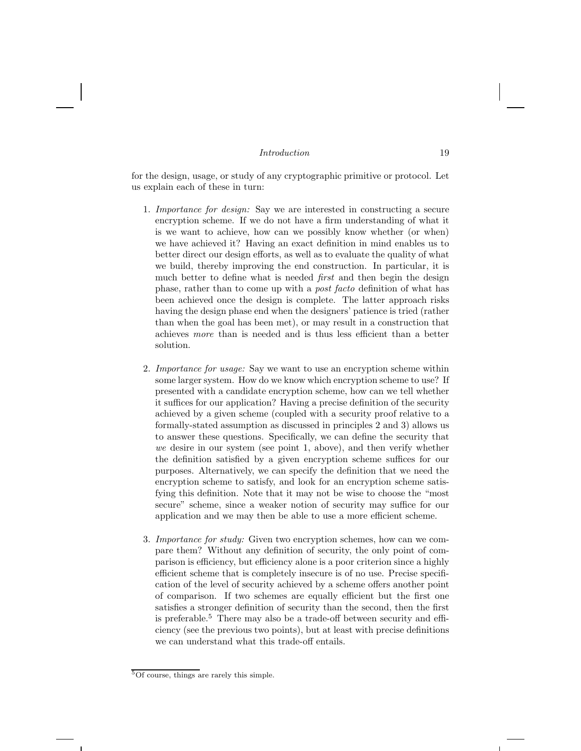for the design, usage, or study of any cryptographic primitive or protocol. Let us explain each of these in turn:

- 1. Importance for design: Say we are interested in constructing a secure encryption scheme. If we do not have a firm understanding of what it is we want to achieve, how can we possibly know whether (or when) we have achieved it? Having an exact definition in mind enables us to better direct our design efforts, as well as to evaluate the quality of what we build, thereby improving the end construction. In particular, it is much better to define what is needed *first* and then begin the design phase, rather than to come up with a post facto definition of what has been achieved once the design is complete. The latter approach risks having the design phase end when the designers' patience is tried (rather than when the goal has been met), or may result in a construction that achieves more than is needed and is thus less efficient than a better solution.
- 2. Importance for usage: Say we want to use an encryption scheme within some larger system. How do we know which encryption scheme to use? If presented with a candidate encryption scheme, how can we tell whether it suffices for our application? Having a precise definition of the security achieved by a given scheme (coupled with a security proof relative to a formally-stated assumption as discussed in principles 2 and 3) allows us to answer these questions. Specifically, we can define the security that we desire in our system (see point 1, above), and then verify whether the definition satisfied by a given encryption scheme suffices for our purposes. Alternatively, we can specify the definition that we need the encryption scheme to satisfy, and look for an encryption scheme satisfying this definition. Note that it may not be wise to choose the "most secure" scheme, since a weaker notion of security may suffice for our application and we may then be able to use a more efficient scheme.
- 3. Importance for study: Given two encryption schemes, how can we compare them? Without any definition of security, the only point of comparison is efficiency, but efficiency alone is a poor criterion since a highly efficient scheme that is completely insecure is of no use. Precise specification of the level of security achieved by a scheme offers another point of comparison. If two schemes are equally efficient but the first one satisfies a stronger definition of security than the second, then the first is preferable.<sup>5</sup> There may also be a trade-off between security and efficiency (see the previous two points), but at least with precise definitions we can understand what this trade-off entails.

 $5\overline{\mathrm{Of}}$  course, things are rarely this simple.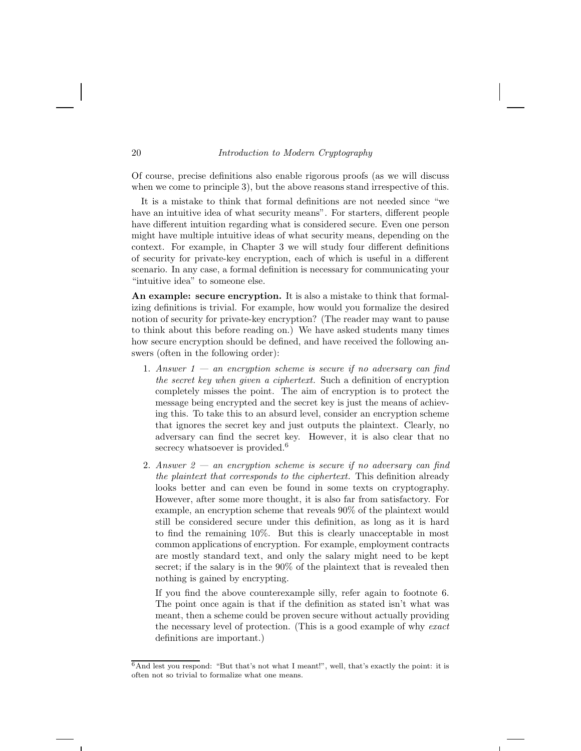Of course, precise definitions also enable rigorous proofs (as we will discuss when we come to principle 3), but the above reasons stand irrespective of this.

It is a mistake to think that formal definitions are not needed since "we have an intuitive idea of what security means". For starters, different people have different intuition regarding what is considered secure. Even one person might have multiple intuitive ideas of what security means, depending on the context. For example, in Chapter 3 we will study four different definitions of security for private-key encryption, each of which is useful in a different scenario. In any case, a formal definition is necessary for communicating your "intuitive idea" to someone else.

An example: secure encryption. It is also a mistake to think that formalizing definitions is trivial. For example, how would you formalize the desired notion of security for private-key encryption? (The reader may want to pause to think about this before reading on.) We have asked students many times how secure encryption should be defined, and have received the following answers (often in the following order):

- 1. Answer  $1 an$  encryption scheme is secure if no adversary can find the secret key when given a ciphertext. Such a definition of encryption completely misses the point. The aim of encryption is to protect the message being encrypted and the secret key is just the means of achieving this. To take this to an absurd level, consider an encryption scheme that ignores the secret key and just outputs the plaintext. Clearly, no adversary can find the secret key. However, it is also clear that no secrecy whatsoever is provided.<sup>6</sup>
- 2. Answer  $2 an$  encryption scheme is secure if no adversary can find the plaintext that corresponds to the ciphertext. This definition already looks better and can even be found in some texts on cryptography. However, after some more thought, it is also far from satisfactory. For example, an encryption scheme that reveals 90% of the plaintext would still be considered secure under this definition, as long as it is hard to find the remaining 10%. But this is clearly unacceptable in most common applications of encryption. For example, employment contracts are mostly standard text, and only the salary might need to be kept secret; if the salary is in the 90% of the plaintext that is revealed then nothing is gained by encrypting.

If you find the above counterexample silly, refer again to footnote 6. The point once again is that if the definition as stated isn't what was meant, then a scheme could be proven secure without actually providing the necessary level of protection. (This is a good example of why exact definitions are important.)

 $6$ And lest you respond: "But that's not what I meant!", well, that's exactly the point: it is often not so trivial to formalize what one means.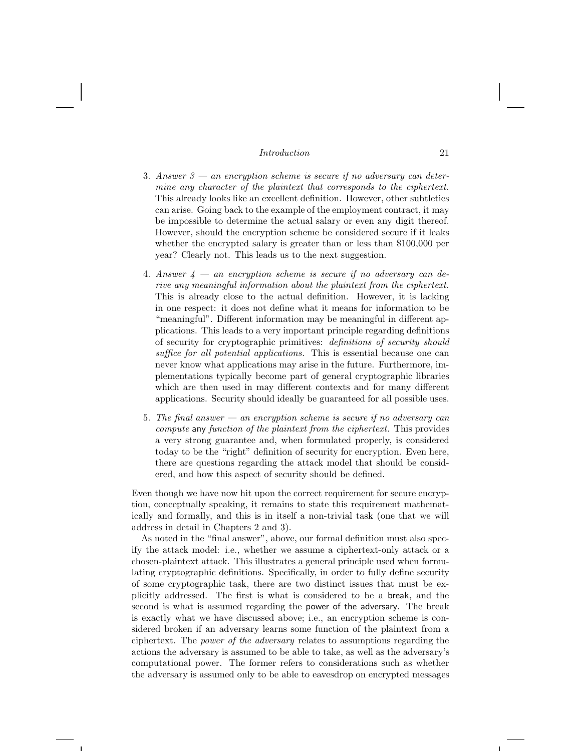- 3. Answer 3 an encryption scheme is secure if no adversary can determine any character of the plaintext that corresponds to the ciphertext. This already looks like an excellent definition. However, other subtleties can arise. Going back to the example of the employment contract, it may be impossible to determine the actual salary or even any digit thereof. However, should the encryption scheme be considered secure if it leaks whether the encrypted salary is greater than or less than \$100,000 per year? Clearly not. This leads us to the next suggestion.
- 4. Answer  $4 -$  an encryption scheme is secure if no adversary can derive any meaningful information about the plaintext from the ciphertext. This is already close to the actual definition. However, it is lacking in one respect: it does not define what it means for information to be "meaningful". Different information may be meaningful in different applications. This leads to a very important principle regarding definitions of security for cryptographic primitives: definitions of security should suffice for all potential applications. This is essential because one can never know what applications may arise in the future. Furthermore, implementations typically become part of general cryptographic libraries which are then used in may different contexts and for many different applications. Security should ideally be guaranteed for all possible uses.
- 5. The final answer  $-$  an encryption scheme is secure if no adversary can compute any function of the plaintext from the ciphertext. This provides a very strong guarantee and, when formulated properly, is considered today to be the "right" definition of security for encryption. Even here, there are questions regarding the attack model that should be considered, and how this aspect of security should be defined.

Even though we have now hit upon the correct requirement for secure encryption, conceptually speaking, it remains to state this requirement mathematically and formally, and this is in itself a non-trivial task (one that we will address in detail in Chapters 2 and 3).

As noted in the "final answer", above, our formal definition must also specify the attack model: i.e., whether we assume a ciphertext-only attack or a chosen-plaintext attack. This illustrates a general principle used when formulating cryptographic definitions. Specifically, in order to fully define security of some cryptographic task, there are two distinct issues that must be explicitly addressed. The first is what is considered to be a break, and the second is what is assumed regarding the power of the adversary. The break is exactly what we have discussed above; i.e., an encryption scheme is considered broken if an adversary learns some function of the plaintext from a ciphertext. The power of the adversary relates to assumptions regarding the actions the adversary is assumed to be able to take, as well as the adversary's computational power. The former refers to considerations such as whether the adversary is assumed only to be able to eavesdrop on encrypted messages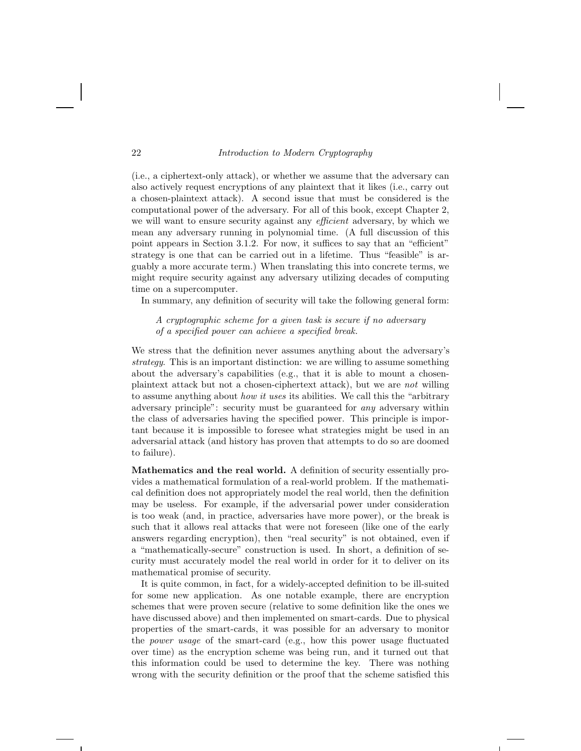(i.e., a ciphertext-only attack), or whether we assume that the adversary can also actively request encryptions of any plaintext that it likes (i.e., carry out a chosen-plaintext attack). A second issue that must be considered is the computational power of the adversary. For all of this book, except Chapter 2, we will want to ensure security against any *efficient* adversary, by which we mean any adversary running in polynomial time. (A full discussion of this point appears in Section 3.1.2. For now, it suffices to say that an "efficient" strategy is one that can be carried out in a lifetime. Thus "feasible" is arguably a more accurate term.) When translating this into concrete terms, we might require security against any adversary utilizing decades of computing time on a supercomputer.

In summary, any definition of security will take the following general form:

A cryptographic scheme for a given task is secure if no adversary of a specified power can achieve a specified break.

We stress that the definition never assumes anything about the adversary's strategy. This is an important distinction: we are willing to assume something about the adversary's capabilities (e.g., that it is able to mount a chosenplaintext attack but not a chosen-ciphertext attack), but we are not willing to assume anything about *how it uses* its abilities. We call this the "arbitrary" adversary principle": security must be guaranteed for any adversary within the class of adversaries having the specified power. This principle is important because it is impossible to foresee what strategies might be used in an adversarial attack (and history has proven that attempts to do so are doomed to failure).

Mathematics and the real world. A definition of security essentially provides a mathematical formulation of a real-world problem. If the mathematical definition does not appropriately model the real world, then the definition may be useless. For example, if the adversarial power under consideration is too weak (and, in practice, adversaries have more power), or the break is such that it allows real attacks that were not foreseen (like one of the early answers regarding encryption), then "real security" is not obtained, even if a "mathematically-secure" construction is used. In short, a definition of security must accurately model the real world in order for it to deliver on its mathematical promise of security.

It is quite common, in fact, for a widely-accepted definition to be ill-suited for some new application. As one notable example, there are encryption schemes that were proven secure (relative to some definition like the ones we have discussed above) and then implemented on smart-cards. Due to physical properties of the smart-cards, it was possible for an adversary to monitor the power usage of the smart-card (e.g., how this power usage fluctuated over time) as the encryption scheme was being run, and it turned out that this information could be used to determine the key. There was nothing wrong with the security definition or the proof that the scheme satisfied this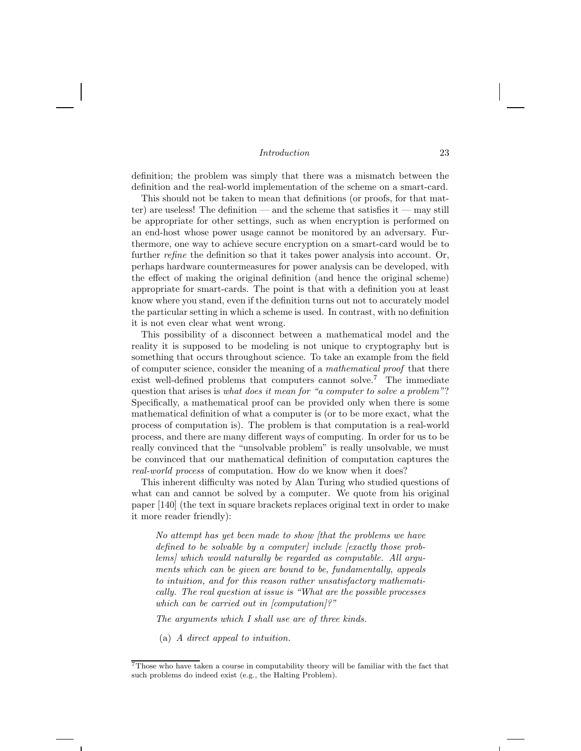definition; the problem was simply that there was a mismatch between the definition and the real-world implementation of the scheme on a smart-card.

This should not be taken to mean that definitions (or proofs, for that matter) are useless! The definition — and the scheme that satisfies it — may still be appropriate for other settings, such as when encryption is performed on an end-host whose power usage cannot be monitored by an adversary. Furthermore, one way to achieve secure encryption on a smart-card would be to further *refine* the definition so that it takes power analysis into account. Or, perhaps hardware countermeasures for power analysis can be developed, with the effect of making the original definition (and hence the original scheme) appropriate for smart-cards. The point is that with a definition you at least know where you stand, even if the definition turns out not to accurately model the particular setting in which a scheme is used. In contrast, with no definition it is not even clear what went wrong.

This possibility of a disconnect between a mathematical model and the reality it is supposed to be modeling is not unique to cryptography but is something that occurs throughout science. To take an example from the field of computer science, consider the meaning of a mathematical proof that there exist well-defined problems that computers cannot solve.<sup>7</sup> The immediate question that arises is what does it mean for "a computer to solve a problem"? Specifically, a mathematical proof can be provided only when there is some mathematical definition of what a computer is (or to be more exact, what the process of computation is). The problem is that computation is a real-world process, and there are many different ways of computing. In order for us to be really convinced that the "unsolvable problem" is really unsolvable, we must be convinced that our mathematical definition of computation captures the real-world process of computation. How do we know when it does?

This inherent difficulty was noted by Alan Turing who studied questions of what can and cannot be solved by a computer. We quote from his original paper [140] (the text in square brackets replaces original text in order to make it more reader friendly):

No attempt has yet been made to show [that the problems we have defined to be solvable by a computer include (exactly those problems] which would naturally be regarded as computable. All arguments which can be given are bound to be, fundamentally, appeals to intuition, and for this reason rather unsatisfactory mathematically. The real question at issue is "What are the possible processes which can be carried out in [computation]?"

The arguments which I shall use are of three kinds.

(a) A direct appeal to intuition.

<sup>7</sup>Those who have taken a course in computability theory will be familiar with the fact that such problems do indeed exist (e.g., the Halting Problem).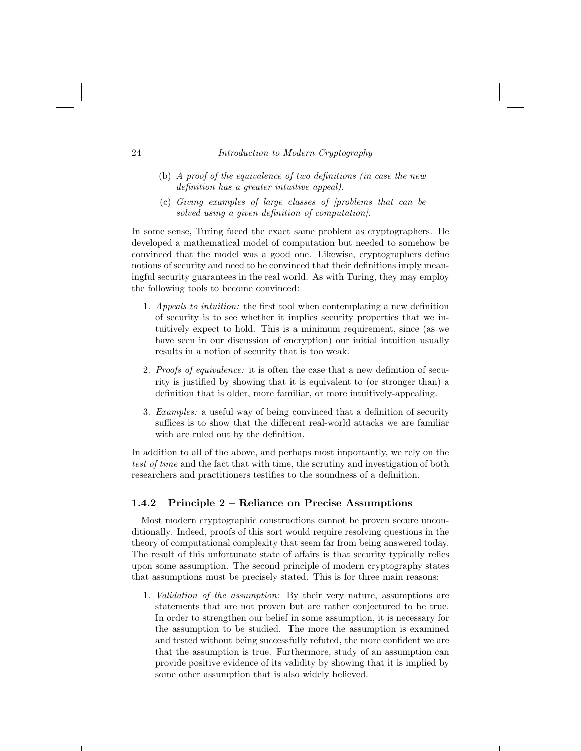- (b) A proof of the equivalence of two definitions (in case the new definition has a greater intuitive appeal).
- (c) Giving examples of large classes of [problems that can be solved using a given definition of computation].

In some sense, Turing faced the exact same problem as cryptographers. He developed a mathematical model of computation but needed to somehow be convinced that the model was a good one. Likewise, cryptographers define notions of security and need to be convinced that their definitions imply meaningful security guarantees in the real world. As with Turing, they may employ the following tools to become convinced:

- 1. Appeals to intuition: the first tool when contemplating a new definition of security is to see whether it implies security properties that we intuitively expect to hold. This is a minimum requirement, since (as we have seen in our discussion of encryption) our initial intuition usually results in a notion of security that is too weak.
- 2. Proofs of equivalence: it is often the case that a new definition of security is justified by showing that it is equivalent to (or stronger than) a definition that is older, more familiar, or more intuitively-appealing.
- 3. Examples: a useful way of being convinced that a definition of security suffices is to show that the different real-world attacks we are familiar with are ruled out by the definition.

In addition to all of the above, and perhaps most importantly, we rely on the test of time and the fact that with time, the scrutiny and investigation of both researchers and practitioners testifies to the soundness of a definition.

#### 1.4.2 Principle 2 – Reliance on Precise Assumptions

Most modern cryptographic constructions cannot be proven secure unconditionally. Indeed, proofs of this sort would require resolving questions in the theory of computational complexity that seem far from being answered today. The result of this unfortunate state of affairs is that security typically relies upon some assumption. The second principle of modern cryptography states that assumptions must be precisely stated. This is for three main reasons:

1. Validation of the assumption: By their very nature, assumptions are statements that are not proven but are rather conjectured to be true. In order to strengthen our belief in some assumption, it is necessary for the assumption to be studied. The more the assumption is examined and tested without being successfully refuted, the more confident we are that the assumption is true. Furthermore, study of an assumption can provide positive evidence of its validity by showing that it is implied by some other assumption that is also widely believed.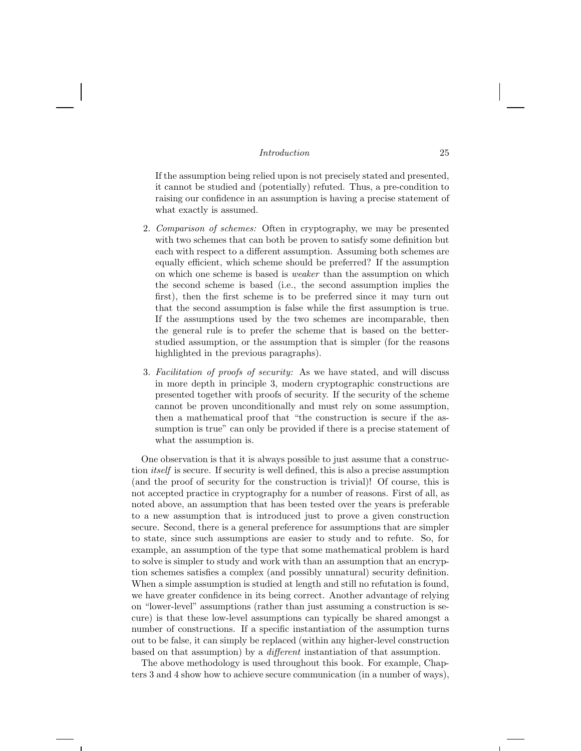If the assumption being relied upon is not precisely stated and presented, it cannot be studied and (potentially) refuted. Thus, a pre-condition to raising our confidence in an assumption is having a precise statement of what exactly is assumed.

- 2. Comparison of schemes: Often in cryptography, we may be presented with two schemes that can both be proven to satisfy some definition but each with respect to a different assumption. Assuming both schemes are equally efficient, which scheme should be preferred? If the assumption on which one scheme is based is weaker than the assumption on which the second scheme is based (i.e., the second assumption implies the first), then the first scheme is to be preferred since it may turn out that the second assumption is false while the first assumption is true. If the assumptions used by the two schemes are incomparable, then the general rule is to prefer the scheme that is based on the betterstudied assumption, or the assumption that is simpler (for the reasons highlighted in the previous paragraphs).
- 3. Facilitation of proofs of security: As we have stated, and will discuss in more depth in principle 3, modern cryptographic constructions are presented together with proofs of security. If the security of the scheme cannot be proven unconditionally and must rely on some assumption, then a mathematical proof that "the construction is secure if the assumption is true" can only be provided if there is a precise statement of what the assumption is.

One observation is that it is always possible to just assume that a construction *itself* is secure. If security is well defined, this is also a precise assumption (and the proof of security for the construction is trivial)! Of course, this is not accepted practice in cryptography for a number of reasons. First of all, as noted above, an assumption that has been tested over the years is preferable to a new assumption that is introduced just to prove a given construction secure. Second, there is a general preference for assumptions that are simpler to state, since such assumptions are easier to study and to refute. So, for example, an assumption of the type that some mathematical problem is hard to solve is simpler to study and work with than an assumption that an encryption schemes satisfies a complex (and possibly unnatural) security definition. When a simple assumption is studied at length and still no refutation is found, we have greater confidence in its being correct. Another advantage of relying on "lower-level" assumptions (rather than just assuming a construction is secure) is that these low-level assumptions can typically be shared amongst a number of constructions. If a specific instantiation of the assumption turns out to be false, it can simply be replaced (within any higher-level construction based on that assumption) by a different instantiation of that assumption.

The above methodology is used throughout this book. For example, Chapters 3 and 4 show how to achieve secure communication (in a number of ways),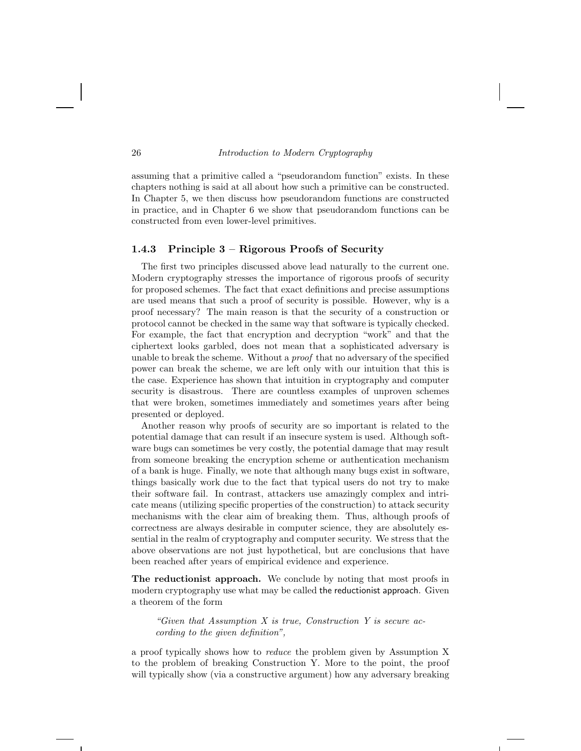assuming that a primitive called a "pseudorandom function" exists. In these chapters nothing is said at all about how such a primitive can be constructed. In Chapter 5, we then discuss how pseudorandom functions are constructed in practice, and in Chapter 6 we show that pseudorandom functions can be constructed from even lower-level primitives.

#### 1.4.3 Principle 3 – Rigorous Proofs of Security

The first two principles discussed above lead naturally to the current one. Modern cryptography stresses the importance of rigorous proofs of security for proposed schemes. The fact that exact definitions and precise assumptions are used means that such a proof of security is possible. However, why is a proof necessary? The main reason is that the security of a construction or protocol cannot be checked in the same way that software is typically checked. For example, the fact that encryption and decryption "work" and that the ciphertext looks garbled, does not mean that a sophisticated adversary is unable to break the scheme. Without a proof that no adversary of the specified power can break the scheme, we are left only with our intuition that this is the case. Experience has shown that intuition in cryptography and computer security is disastrous. There are countless examples of unproven schemes that were broken, sometimes immediately and sometimes years after being presented or deployed.

Another reason why proofs of security are so important is related to the potential damage that can result if an insecure system is used. Although software bugs can sometimes be very costly, the potential damage that may result from someone breaking the encryption scheme or authentication mechanism of a bank is huge. Finally, we note that although many bugs exist in software, things basically work due to the fact that typical users do not try to make their software fail. In contrast, attackers use amazingly complex and intricate means (utilizing specific properties of the construction) to attack security mechanisms with the clear aim of breaking them. Thus, although proofs of correctness are always desirable in computer science, they are absolutely essential in the realm of cryptography and computer security. We stress that the above observations are not just hypothetical, but are conclusions that have been reached after years of empirical evidence and experience.

The reductionist approach. We conclude by noting that most proofs in modern cryptography use what may be called the reductionist approach. Given a theorem of the form

"Given that Assumption  $X$  is true, Construction  $Y$  is secure according to the given definition",

a proof typically shows how to reduce the problem given by Assumption X to the problem of breaking Construction Y. More to the point, the proof will typically show (via a constructive argument) how any adversary breaking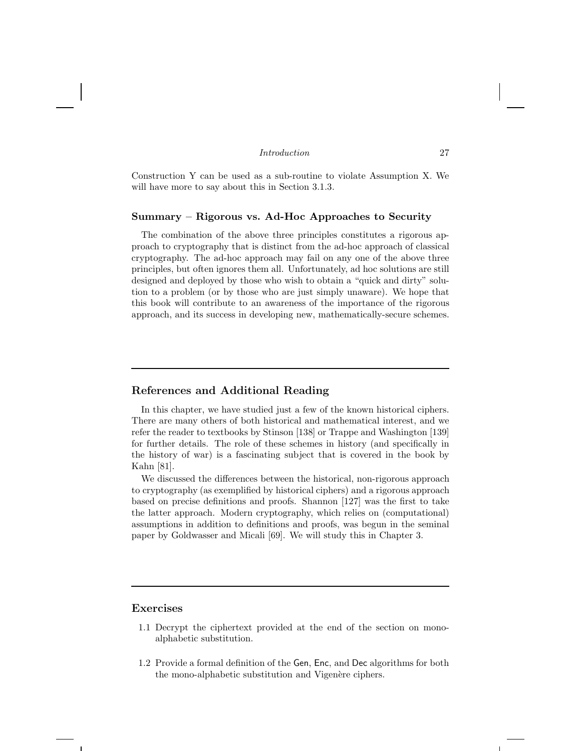Construction Y can be used as a sub-routine to violate Assumption X. We will have more to say about this in Section 3.1.3.

#### Summary – Rigorous vs. Ad-Hoc Approaches to Security

The combination of the above three principles constitutes a rigorous approach to cryptography that is distinct from the ad-hoc approach of classical cryptography. The ad-hoc approach may fail on any one of the above three principles, but often ignores them all. Unfortunately, ad hoc solutions are still designed and deployed by those who wish to obtain a "quick and dirty" solution to a problem (or by those who are just simply unaware). We hope that this book will contribute to an awareness of the importance of the rigorous approach, and its success in developing new, mathematically-secure schemes.

### References and Additional Reading

In this chapter, we have studied just a few of the known historical ciphers. There are many others of both historical and mathematical interest, and we refer the reader to textbooks by Stinson [138] or Trappe and Washington [139] for further details. The role of these schemes in history (and specifically in the history of war) is a fascinating subject that is covered in the book by Kahn [81].

We discussed the differences between the historical, non-rigorous approach to cryptography (as exemplified by historical ciphers) and a rigorous approach based on precise definitions and proofs. Shannon [127] was the first to take the latter approach. Modern cryptography, which relies on (computational) assumptions in addition to definitions and proofs, was begun in the seminal paper by Goldwasser and Micali [69]. We will study this in Chapter 3.

#### Exercises

- 1.1 Decrypt the ciphertext provided at the end of the section on monoalphabetic substitution.
- 1.2 Provide a formal definition of the Gen, Enc, and Dec algorithms for both the mono-alphabetic substitution and Vigenère ciphers.